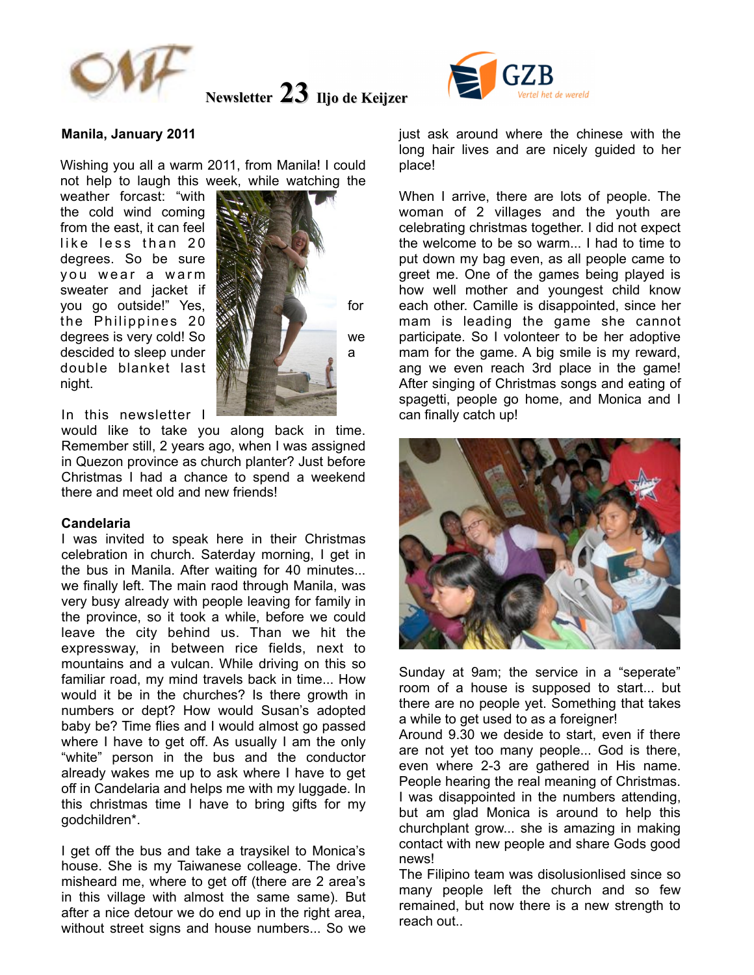

# **Newsletter 23** Iljo de Keijzer

## **Manila, January 2011**

Wishing you all a warm 2011, from Manila! I could not help to laugh this week, while watching the

weather forcast: "with the cold wind coming from the east, it can feel like less than 20 degrees. So be sure you wear a warm sweater and jacket if you go outside!" Yes, see the state for the Philippines 20 degrees is very cold! So **WANTER THE SO WE** we descided to sleep under **ANN COLLECTION** a double blanket last night.



In this newsletter I

would like to take you along back in time. Remember still, 2 years ago, when I was assigned in Quezon province as church planter? Just before Christmas I had a chance to spend a weekend there and meet old and new friends!

#### **Candelaria**

I was invited to speak here in their Christmas celebration in church. Saterday morning, I get in the bus in Manila. After waiting for 40 minutes... we finally left. The main raod through Manila, was very busy already with people leaving for family in the province, so it took a while, before we could leave the city behind us. Than we hit the expressway, in between rice fields, next to mountains and a vulcan. While driving on this so familiar road, my mind travels back in time... How would it be in the churches? Is there growth in numbers or dept? How would Susan's adopted baby be? Time flies and I would almost go passed where I have to get off. As usually I am the only "white" person in the bus and the conductor already wakes me up to ask where I have to get off in Candelaria and helps me with my luggade. In this christmas time I have to bring gifts for my godchildren\*.

I get off the bus and take a traysikel to Monica's house. She is my Taiwanese colleage. The drive misheard me, where to get off (there are 2 area's in this village with almost the same same). But after a nice detour we do end up in the right area, without street signs and house numbers... So we



just ask around where the chinese with the long hair lives and are nicely guided to her place!

When I arrive, there are lots of people. The woman of 2 villages and the youth are celebrating christmas together. I did not expect the welcome to be so warm... I had to time to put down my bag even, as all people came to greet me. One of the games being played is how well mother and youngest child know each other. Camille is disappointed, since her mam is leading the game she cannot participate. So I volonteer to be her adoptive mam for the game. A big smile is my reward, ang we even reach 3rd place in the game! After singing of Christmas songs and eating of spagetti, people go home, and Monica and I can finally catch up!



Sunday at 9am; the service in a "seperate" room of a house is supposed to start... but there are no people yet. Something that takes a while to get used to as a foreigner!

Around 9.30 we deside to start, even if there are not yet too many people... God is there, even where 2-3 are gathered in His name. People hearing the real meaning of Christmas. I was disappointed in the numbers attending, but am glad Monica is around to help this churchplant grow... she is amazing in making contact with new people and share Gods good news!

The Filipino team was disolusionlised since so many people left the church and so few remained, but now there is a new strength to reach out..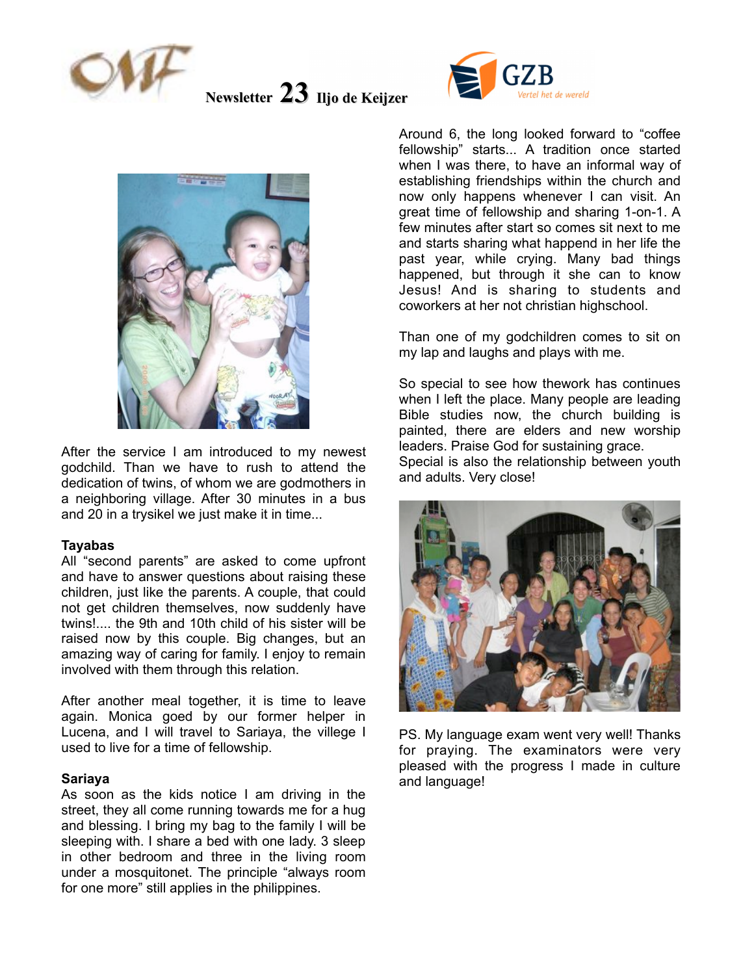

**Newsletter 23** Iljo de Keijzer





After the service I am introduced to my newest godchild. Than we have to rush to attend the dedication of twins, of whom we are godmothers in a neighboring village. After 30 minutes in a bus and 20 in a trysikel we just make it in time...

#### **Tayabas**

All "second parents" are asked to come upfront and have to answer questions about raising these children, just like the parents. A couple, that could not get children themselves, now suddenly have twins!.... the 9th and 10th child of his sister will be raised now by this couple. Big changes, but an amazing way of caring for family. I enjoy to remain involved with them through this relation.

After another meal together, it is time to leave again. Monica goed by our former helper in Lucena, and I will travel to Sariaya, the villege I used to live for a time of fellowship.

## **Sariaya**

As soon as the kids notice I am driving in the street, they all come running towards me for a hug and blessing. I bring my bag to the family I will be sleeping with. I share a bed with one lady. 3 sleep in other bedroom and three in the living room under a mosquitonet. The principle "always room for one more" still applies in the philippines.

Around 6, the long looked forward to "coffee fellowship" starts... A tradition once started when I was there, to have an informal way of establishing friendships within the church and now only happens whenever I can visit. An great time of fellowship and sharing 1-on-1. A few minutes after start so comes sit next to me and starts sharing what happend in her life the past year, while crying. Many bad things happened, but through it she can to know Jesus! And is sharing to students and coworkers at her not christian highschool.

Than one of my godchildren comes to sit on my lap and laughs and plays with me.

So special to see how thework has continues when I left the place. Many people are leading Bible studies now, the church building is painted, there are elders and new worship leaders. Praise God for sustaining grace. Special is also the relationship between youth and adults. Very close!



PS. My language exam went very well! Thanks for praying. The examinators were very pleased with the progress I made in culture and language!